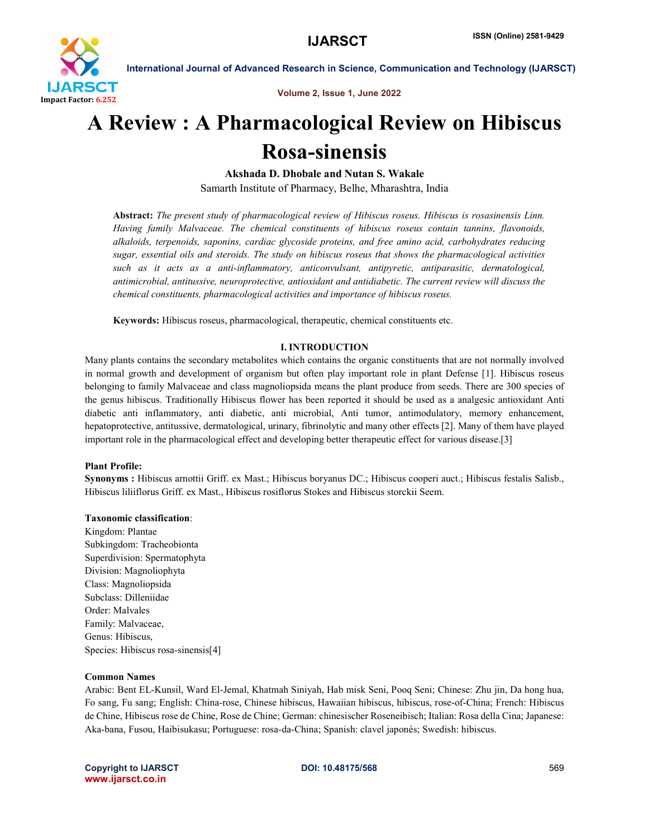

Volume 2, Issue 1, June 2022

## A Review : A Pharmacological Review on Hibiscus Rosa-sinensis

Akshada D. Dhobale and Nutan S. Wakale

Samarth Institute of Pharmacy, Belhe, Mharashtra, India

Abstract: *The present study of pharmacological review of Hibiscus roseus. Hibiscus is rosasinensis Linn. Having family Malvaceae. The chemical constituents of hibiscus roseus contain tannins, flavonoids, alkaloids, terpenoids, saponins, cardiac glycoside proteins, and free amino acid, carbohydrates reducing sugar, essential oils and steroids. The study on hibiscus roseus that shows the pharmacological activities such as it acts as a anti-inflammatory, anticonvulsant, antipyretic, antiparasitic, dermatological, antimicrobial, antitussive, neuroprotective, antioxidant and antidiabetic. The current review will discuss the chemical constituents, pharmacological activities and importance of hibiscus roseus.*

Keywords: Hibiscus roseus, pharmacological, therapeutic, chemical constituents etc.

#### I. INTRODUCTION

Many plants contains the secondary metabolites which contains the organic constituents that are not normally involved in normal growth and development of organism but often play important role in plant Defense [1]. Hibiscus roseus belonging to family Malvaceae and class magnoliopsida means the plant produce from seeds. There are 300 species of the genus hibiscus. Traditionally Hibiscus flower has been reported it should be used as a analgesic antioxidant Anti diabetic anti inflammatory, anti diabetic, anti microbial, Anti tumor, antimodulatory, memory enhancement, hepatoprotective, antitussive, dermatological, urinary, fibrinolytic and many other effects [2]. Many of them have played important role in the pharmacological effect and developing better therapeutic effect for various disease.[3]

#### Plant Profile:

Synonyms : Hibiscus arnottii Griff. ex Mast.; Hibiscus boryanus DC.; Hibiscus cooperi auct.; Hibiscus festalis Salisb., Hibiscus liliiflorus Griff. ex Mast., Hibiscus rosiflorus Stokes and Hibiscus storckii Seem.

#### Taxonomic classification:

Kingdom: Plantae Subkingdom: Tracheobionta Superdivision: Spermatophyta Division: Magnoliophyta Class: Magnoliopsida Subclass: Dilleniidae Order: Malvales Family: Malvaceae, Genus: Hibiscus, Species: Hibiscus rosa-sinensis[4]

#### Common Names

Arabic: Bent EL-Kunsil, Ward El-Jemal, Khatmah Siniyah, Hab misk Seni, Pooq Seni; Chinese: Zhu jin, Da hong hua, Fo sang, Fu sang; English: China-rose, Chinese hibiscus, Hawaiian hibiscus, hibiscus, rose-of-China; French: Hibiscus de Chine, Hibiscus rose de Chine, Rose de Chine; German: chinesischer Roseneibisch; Italian: Rosa della Cina; Japanese: Aka-bana, Fusou, Haibisukasu; Portuguese: rosa-da-China; Spanish: clavel japonés; Swedish: hibiscus.

Copyright to IJARSCT **DOI: 10.48175/568** 569 www.ijarsct.co.in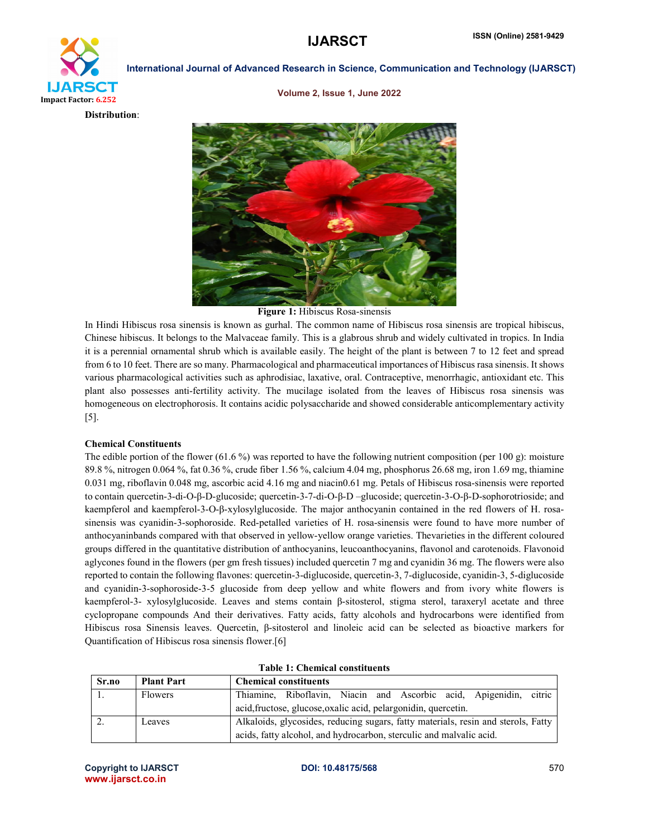### **IJARSCT** ISSN (Online) 2581-9429

# IJARSCT Impact Factor: 6.252

International Journal of Advanced Research in Science, Communication and Technology (IJARSCT)

Volume 2, Issue 1, June 2022





Figure 1: Hibiscus Rosa-sinensis

In Hindi Hibiscus rosa sinensis is known as gurhal. The common name of Hibiscus rosa sinensis are tropical hibiscus, Chinese hibiscus. It belongs to the Malvaceae family. This is a glabrous shrub and widely cultivated in tropics. In India it is a perennial ornamental shrub which is available easily. The height of the plant is between 7 to 12 feet and spread from 6 to 10 feet. There are so many. Pharmacological and pharmaceutical importances of Hibiscus rasa sinensis. It shows various pharmacological activities such as aphrodisiac, laxative, oral. Contraceptive, menorrhagic, antioxidant etc. This plant also possesses anti-fertility activity. The mucilage isolated from the leaves of Hibiscus rosa sinensis was homogeneous on electrophorosis. It contains acidic polysaccharide and showed considerable anticomplementary activity [5].

#### Chemical Constituents

The edible portion of the flower (61.6 %) was reported to have the following nutrient composition (per 100 g): moisture 89.8 %, nitrogen 0.064 %, fat 0.36 %, crude fiber 1.56 %, calcium 4.04 mg, phosphorus 26.68 mg, iron 1.69 mg, thiamine 0.031 mg, riboflavin 0.048 mg, ascorbic acid 4.16 mg and niacin0.61 mg. Petals of Hibiscus rosa-sinensis were reported to contain quercetin-3-di-O-β-D-glucoside; quercetin-3-7-di-O-β-D –glucoside; quercetin-3-O-β-D-sophorotrioside; and kaempferol and kaempferol-3-O-β-xylosylglucoside. The major anthocyanin contained in the red flowers of H. rosasinensis was cyanidin-3-sophoroside. Red-petalled varieties of H. rosa-sinensis were found to have more number of anthocyaninbands compared with that observed in yellow-yellow orange varieties. Thevarieties in the different coloured groups differed in the quantitative distribution of anthocyanins, leucoanthocyanins, flavonol and carotenoids. Flavonoid aglycones found in the flowers (per gm fresh tissues) included quercetin 7 mg and cyanidin 36 mg. The flowers were also reported to contain the following flavones: quercetin-3-diglucoside, quercetin-3, 7-diglucoside, cyanidin-3, 5-diglucoside and cyanidin-3-sophoroside-3-5 glucoside from deep yellow and white flowers and from ivory white flowers is kaempferol-3- xylosylglucoside. Leaves and stems contain β-sitosterol, stigma sterol, taraxeryl acetate and three cyclopropane compounds And their derivatives. Fatty acids, fatty alcohols and hydrocarbons were identified from Hibiscus rosa Sinensis leaves. Quercetin, β-sitosterol and linoleic acid can be selected as bioactive markers for Quantification of Hibiscus rosa sinensis flower.[6]

| Sr.no | <b>Plant Part</b> | <b>Chemical constituents</b>                                                      |  |  |
|-------|-------------------|-----------------------------------------------------------------------------------|--|--|
|       | <b>Flowers</b>    | citric<br>Thiamine, Riboflavin, Niacin and Ascorbic acid, Apigenidin,             |  |  |
|       |                   | acid, fructose, glucose, oxalic acid, pelargonidin, quercetin.                    |  |  |
|       | Leaves            | Alkaloids, glycosides, reducing sugars, fatty materials, resin and sterols, Fatty |  |  |
|       |                   | acids, fatty alcohol, and hydrocarbon, sterculic and malvalic acid.               |  |  |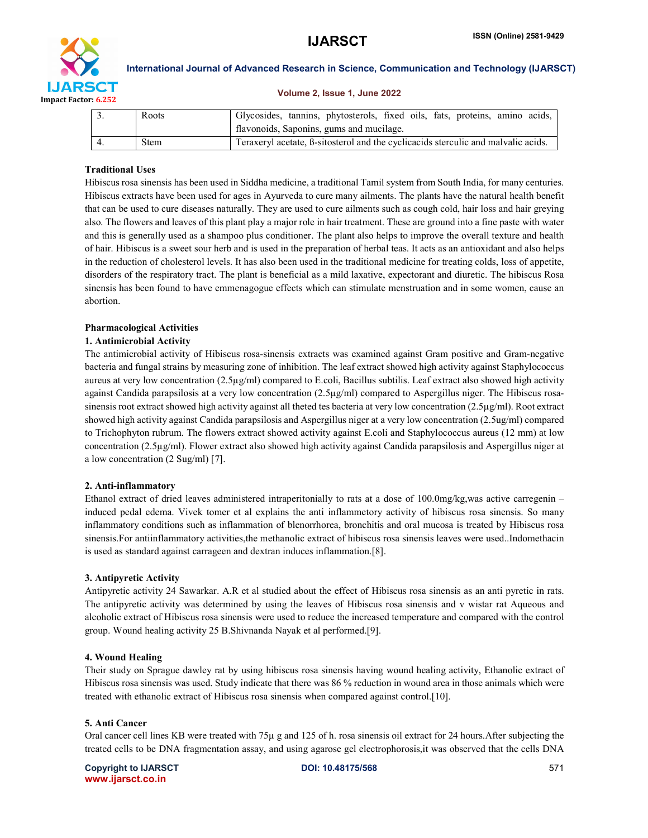

#### Volume 2, Issue 1, June 2022

|  | Roots       | Glycosides, tannins, phytosterols, fixed oils, fats, proteins, amino acids,       |
|--|-------------|-----------------------------------------------------------------------------------|
|  |             | flavonoids, Saponins, gums and mucilage.                                          |
|  | <b>Stem</b> | Teraxeryl acetate, B-sitosterol and the cyclicacids sterculic and malvalic acids. |

#### Traditional Uses

Hibiscus rosa sinensis has been used in Siddha medicine, a traditional Tamil system from South India, for many centuries. Hibiscus extracts have been used for ages in Ayurveda to cure many ailments. The plants have the natural health benefit that can be used to cure diseases naturally. They are used to cure ailments such as cough cold, hair loss and hair greying also. The flowers and leaves of this plant play a major role in hair treatment. These are ground into a fine paste with water and this is generally used as a shampoo plus conditioner. The plant also helps to improve the overall texture and health of hair. Hibiscus is a sweet sour herb and is used in the preparation of herbal teas. It acts as an antioxidant and also helps in the reduction of cholesterol levels. It has also been used in the traditional medicine for treating colds, loss of appetite, disorders of the respiratory tract. The plant is beneficial as a mild laxative, expectorant and diuretic. The hibiscus Rosa sinensis has been found to have emmenagogue effects which can stimulate menstruation and in some women, cause an abortion.

#### Pharmacological Activities

#### 1. Antimicrobial Activity

The antimicrobial activity of Hibiscus rosa-sinensis extracts was examined against Gram positive and Gram-negative bacteria and fungal strains by measuring zone of inhibition. The leaf extract showed high activity against Staphylococcus aureus at very low concentration (2.5µg/ml) compared to E.coli, Bacillus subtilis. Leaf extract also showed high activity against Candida parapsilosis at a very low concentration (2.5µg/ml) compared to Aspergillus niger. The Hibiscus rosasinensis root extract showed high activity against all theted tes bacteria at very low concentration (2.5µg/ml). Root extract showed high activity against Candida parapsilosis and Aspergillus niger at a very low concentration (2.5ug/ml) compared to Trichophyton rubrum. The flowers extract showed activity against E.coli and Staphylococcus aureus (12 mm) at low concentration (2.5µg/ml). Flower extract also showed high activity against Candida parapsilosis and Aspergillus niger at a low concentration (2 Sug/ml) [7].

#### 2. Anti-inflammatory

Ethanol extract of dried leaves administered intraperitonially to rats at a dose of 100.0mg/kg,was active carregenin – induced pedal edema. Vivek tomer et al explains the anti inflammetory activity of hibiscus rosa sinensis. So many inflammatory conditions such as inflammation of blenorrhorea, bronchitis and oral mucosa is treated by Hibiscus rosa sinensis.For antiinflammatory activities,the methanolic extract of hibiscus rosa sinensis leaves were used..Indomethacin is used as standard against carrageen and dextran induces inflammation.[8].

#### 3. Antipyretic Activity

Antipyretic activity 24 Sawarkar. A.R et al studied about the effect of Hibiscus rosa sinensis as an anti pyretic in rats. The antipyretic activity was determined by using the leaves of Hibiscus rosa sinensis and v wistar rat Aqueous and alcoholic extract of Hibiscus rosa sinensis were used to reduce the increased temperature and compared with the control group. Wound healing activity 25 B.Shivnanda Nayak et al performed.[9].

#### 4. Wound Healing

Their study on Sprague dawley rat by using hibiscus rosa sinensis having wound healing activity, Ethanolic extract of Hibiscus rosa sinensis was used. Study indicate that there was 86 % reduction in wound area in those animals which were treated with ethanolic extract of Hibiscus rosa sinensis when compared against control.[10].

#### 5. Anti Cancer

Oral cancer cell lines KB were treated with 75µ g and 125 of h. rosa sinensis oil extract for 24 hours.After subjecting the treated cells to be DNA fragmentation assay, and using agarose gel electrophorosis,it was observed that the cells DNA

Copyright to IJARSCT **DOI: 10.48175/568** 571 www.ijarsct.co.in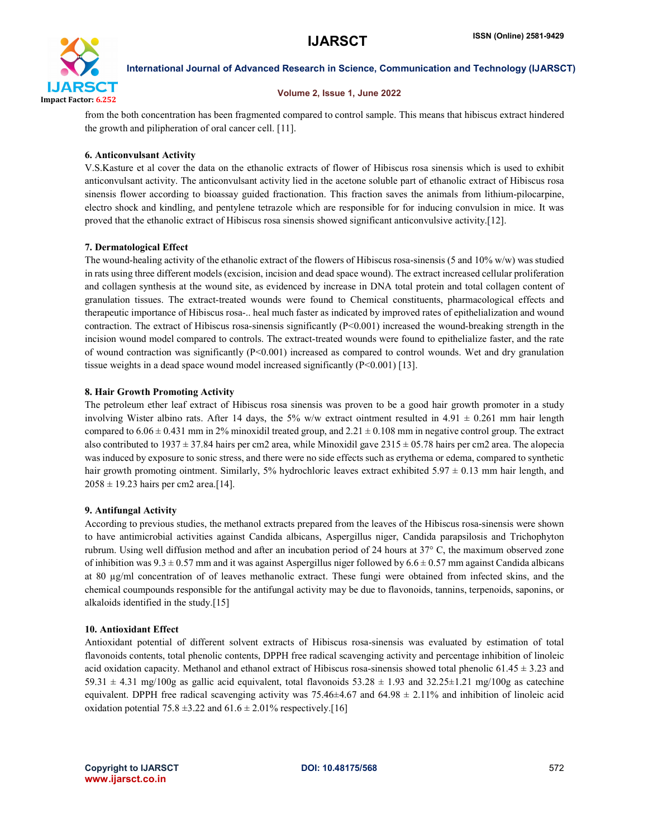

#### Volume 2, Issue 1, June 2022

from the both concentration has been fragmented compared to control sample. This means that hibiscus extract hindered the growth and pilipheration of oral cancer cell. [11].

#### 6. Anticonvulsant Activity

V.S.Kasture et al cover the data on the ethanolic extracts of flower of Hibiscus rosa sinensis which is used to exhibit anticonvulsant activity. The anticonvulsant activity lied in the acetone soluble part of ethanolic extract of Hibiscus rosa sinensis flower according to bioassay guided fractionation. This fraction saves the animals from lithium-pilocarpine, electro shock and kindling, and pentylene tetrazole which are responsible for for inducing convulsion in mice. It was proved that the ethanolic extract of Hibiscus rosa sinensis showed significant anticonvulsive activity.[12].

#### 7. Dermatological Effect

The wound-healing activity of the ethanolic extract of the flowers of Hibiscus rosa-sinensis (5 and 10% w/w) was studied in rats using three different models (excision, incision and dead space wound). The extract increased cellular proliferation and collagen synthesis at the wound site, as evidenced by increase in DNA total protein and total collagen content of granulation tissues. The extract-treated wounds were found to Chemical constituents, pharmacological effects and therapeutic importance of Hibiscus rosa-.. heal much faster as indicated by improved rates of epithelialization and wound contraction. The extract of Hibiscus rosa-sinensis significantly (P<0.001) increased the wound-breaking strength in the incision wound model compared to controls. The extract-treated wounds were found to epithelialize faster, and the rate of wound contraction was significantly  $(P< 0.001)$  increased as compared to control wounds. Wet and dry granulation tissue weights in a dead space wound model increased significantly (P<0.001) [13].

#### 8. Hair Growth Promoting Activity

The petroleum ether leaf extract of Hibiscus rosa sinensis was proven to be a good hair growth promoter in a study involving Wister albino rats. After 14 days, the 5% w/w extract ointment resulted in 4.91  $\pm$  0.261 mm hair length compared to  $6.06 \pm 0.431$  mm in 2% minoxidil treated group, and  $2.21 \pm 0.108$  mm in negative control group. The extract also contributed to 1937  $\pm$  37.84 hairs per cm2 area, while Minoxidil gave 2315  $\pm$  05.78 hairs per cm2 area. The alopecia was induced by exposure to sonic stress, and there were no side effects such as erythema or edema, compared to synthetic hair growth promoting ointment. Similarly, 5% hydrochloric leaves extract exhibited 5.97  $\pm$  0.13 mm hair length, and  $2058 \pm 19.23$  hairs per cm2 area.[14].

#### 9. Antifungal Activity

According to previous studies, the methanol extracts prepared from the leaves of the Hibiscus rosa-sinensis were shown to have antimicrobial activities against Candida albicans, Aspergillus niger, Candida parapsilosis and Trichophyton rubrum. Using well diffusion method and after an incubation period of 24 hours at 37° C, the maximum observed zone of inhibition was  $9.3 \pm 0.57$  mm and it was against Aspergillus niger followed by  $6.6 \pm 0.57$  mm against Candida albicans at 80 µg/ml concentration of of leaves methanolic extract. These fungi were obtained from infected skins, and the chemical coumpounds responsible for the antifungal activity may be due to flavonoids, tannins, terpenoids, saponins, or alkaloids identified in the study.[15]

#### 10. Antioxidant Effect

Antioxidant potential of different solvent extracts of Hibiscus rosa-sinensis was evaluated by estimation of total flavonoids contents, total phenolic contents, DPPH free radical scavenging activity and percentage inhibition of linoleic acid oxidation capacity. Methanol and ethanol extract of Hibiscus rosa-sinensis showed total phenolic  $61.45 \pm 3.23$  and 59.31  $\pm$  4.31 mg/100g as gallic acid equivalent, total flavonoids 53.28  $\pm$  1.93 and 32.25 $\pm$ 1.21 mg/100g as catechine equivalent. DPPH free radical scavenging activity was  $75.46\pm4.67$  and  $64.98 \pm 2.11\%$  and inhibition of linoleic acid oxidation potential 75.8  $\pm$ 3.22 and 61.6  $\pm$  2.01% respectively.[16]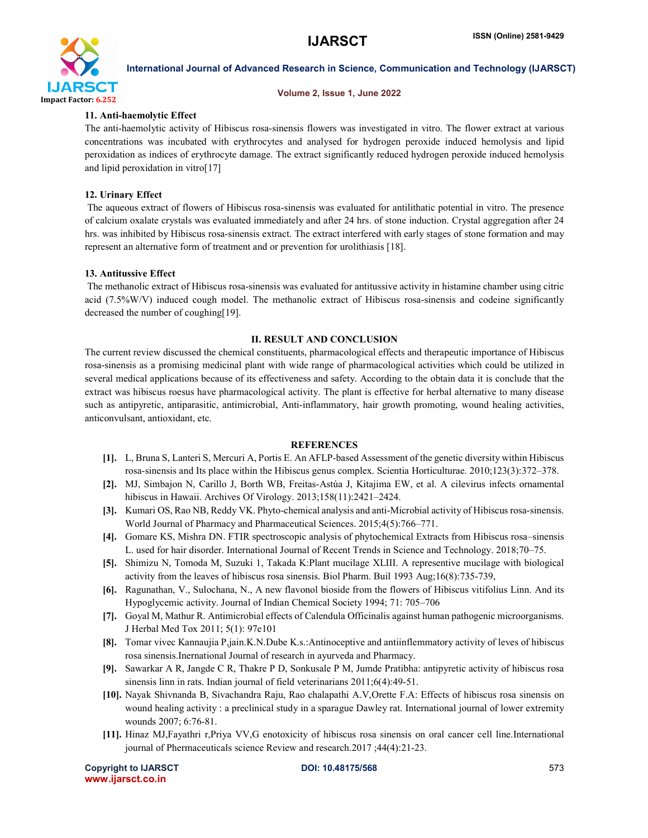

#### Volume 2, Issue 1, June 2022

#### 11. Anti-haemolytic Effect

The anti-haemolytic activity of Hibiscus rosa-sinensis flowers was investigated in vitro. The flower extract at various concentrations was incubated with erythrocytes and analysed for hydrogen peroxide induced hemolysis and lipid peroxidation as indices of erythrocyte damage. The extract significantly reduced hydrogen peroxide induced hemolysis and lipid peroxidation in vitro[17]

#### 12. Urinary Effect

The aqueous extract of flowers of Hibiscus rosa-sinensis was evaluated for antilithatic potential in vitro. The presence of calcium oxalate crystals was evaluated immediately and after 24 hrs. of stone induction. Crystal aggregation after 24 hrs. was inhibited by Hibiscus rosa-sinensis extract. The extract interfered with early stages of stone formation and may represent an alternative form of treatment and or prevention for urolithiasis [18].

#### 13. Antitussive Effect

The methanolic extract of Hibiscus rosa-sinensis was evaluated for antitussive activity in histamine chamber using citric acid (7.5%W/V) induced cough model. The methanolic extract of Hibiscus rosa-sinensis and codeine significantly decreased the number of coughing[19].

#### II. RESULT AND CONCLUSION

The current review discussed the chemical constituents, pharmacological effects and therapeutic importance of Hibiscus rosa-sinensis as a promising medicinal plant with wide range of pharmacological activities which could be utilized in several medical applications because of its effectiveness and safety. According to the obtain data it is conclude that the extract was hibiscus roesus have pharmacological activity. The plant is effective for herbal alternative to many disease such as antipyretic, antiparasitic, antimicrobial, Anti-inflammatory, hair growth promoting, wound healing activities, anticonvulsant, antioxidant, etc.

#### REFERENCES

- [1]. L, Bruna S, Lanteri S, Mercuri A, Portis E. An AFLP-based Assessment of the genetic diversity within Hibiscus rosa-sinensis and Its place within the Hibiscus genus complex. Scientia Horticulturae. 2010;123(3):372–378.
- [2]. MJ, Simbajon N, Carillo J, Borth WB, Freitas-Astúa J, Kitajima EW, et al. A cilevirus infects ornamental hibiscus in Hawaii. Archives Of Virology. 2013;158(11):2421–2424.
- [3]. Kumari OS, Rao NB, Reddy VK. Phyto-chemical analysis and anti-Microbial activity of Hibiscus rosa-sinensis. World Journal of Pharmacy and Pharmaceutical Sciences. 2015;4(5):766–771.
- [4]. Gomare KS, Mishra DN. FTIR spectroscopic analysis of phytochemical Extracts from Hibiscus rosa–sinensis L. used for hair disorder. International Journal of Recent Trends in Science and Technology. 2018;70–75.
- [5]. Shimizu N, Tomoda M, Suzuki 1, Takada K:Plant mucilage XLIII. A representive mucilage with biological activity from the leaves of hibiscus rosa sinensis. Biol Pharm. Buil 1993 Aug;16(8):735-739,
- [6]. Ragunathan, V., Sulochana, N., A new flavonol bioside from the flowers of Hibiscus vitifolius Linn. And its Hypoglycemic activity. Journal of Indian Chemical Society 1994; 71: 705–706
- [7]. Goyal M, Mathur R. Antimicrobial effects of Calendula Officinalis against human pathogenic microorganisms. J Herbal Med Tox 2011; 5(1): 97e101
- [8]. Tomar vivec Kannaujia P,jain.K.N.Dube K.s.:Antinoceptive and antiinflemmatory activity of leves of hibiscus rosa sinensis.Inernational Journal of research in ayurveda and Pharmacy.
- [9]. Sawarkar A R, Jangde C R, Thakre P D, Sonkusale P M, Jumde Pratibha: antipyretic activity of hibiscus rosa sinensis linn in rats. Indian journal of field veterinarians 2011;6(4):49-51.
- [10]. Nayak Shivnanda B, Sivachandra Raju, Rao chalapathi A.V,Orette F.A: Effects of hibiscus rosa sinensis on wound healing activity : a preclinical study in a sparague Dawley rat. International journal of lower extremity wounds 2007; 6:76-81.
- [11]. Hinaz MJ,Fayathri r,Priya VV,G enotoxicity of hibiscus rosa sinensis on oral cancer cell line.International journal of Phermaceuticals science Review and research.2017 ;44(4):21-23.